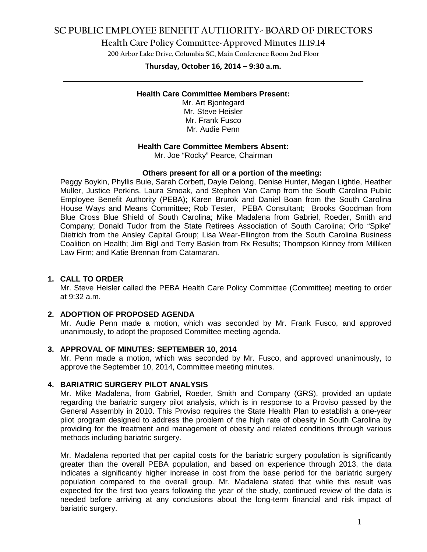# **SC PUBLIC EMPLOYEE BENEFIT AUTHORITY- BOARD OF DIRECTORS**

**Health Care Policy Committee-Approved Minutes 11.19.14**

**200 Arbor Lake Drive, Columbia SC, Main Conference Room 2nd Floor**

# **Thursday, October 16, 2014 – 9:30 a.m. \_\_\_\_\_\_\_\_\_\_\_\_\_\_\_\_\_\_\_\_\_\_\_\_\_\_\_\_\_\_\_\_\_\_\_\_\_\_\_\_\_\_\_\_\_\_\_\_\_\_\_\_\_\_\_\_\_\_\_\_\_\_\_\_\_\_\_\_\_\_\_\_**

## **Health Care Committee Members Present:**

Mr. Art Bjontegard Mr. Steve Heisler Mr. Frank Fusco Mr. Audie Penn

## **Health Care Committee Members Absent:**

Mr. Joe "Rocky" Pearce, Chairman

### **Others present for all or a portion of the meeting:**

Peggy Boykin, Phyllis Buie, Sarah Corbett, Dayle Delong, Denise Hunter, Megan Lightle, Heather Muller, Justice Perkins, Laura Smoak, and Stephen Van Camp from the South Carolina Public Employee Benefit Authority (PEBA); Karen Brurok and Daniel Boan from the South Carolina House Ways and Means Committee; Rob Tester, PEBA Consultant; Brooks Goodman from Blue Cross Blue Shield of South Carolina; Mike Madalena from Gabriel, Roeder, Smith and Company; Donald Tudor from the State Retirees Association of South Carolina; Orlo "Spike" Dietrich from the Ansley Capital Group; Lisa Wear-Ellington from the South Carolina Business Coalition on Health; Jim Bigl and Terry Baskin from Rx Results; Thompson Kinney from Milliken Law Firm; and Katie Brennan from Catamaran.

## **1. CALL TO ORDER**

Mr. Steve Heisler called the PEBA Health Care Policy Committee (Committee) meeting to order at 9:32 a.m.

### **2. ADOPTION OF PROPOSED AGENDA**

Mr. Audie Penn made a motion, which was seconded by Mr. Frank Fusco, and approved unanimously, to adopt the proposed Committee meeting agenda.

### **3. APPROVAL OF MINUTES: SEPTEMBER 10, 2014**

Mr. Penn made a motion, which was seconded by Mr. Fusco, and approved unanimously, to approve the September 10, 2014, Committee meeting minutes.

### **4. BARIATRIC SURGERY PILOT ANALYSIS**

Mr. Mike Madalena, from Gabriel, Roeder, Smith and Company (GRS), provided an update regarding the bariatric surgery pilot analysis, which is in response to a Proviso passed by the General Assembly in 2010. This Proviso requires the State Health Plan to establish a one-year pilot program designed to address the problem of the high rate of obesity in South Carolina by providing for the treatment and management of obesity and related conditions through various methods including bariatric surgery.

Mr. Madalena reported that per capital costs for the bariatric surgery population is significantly greater than the overall PEBA population, and based on experience through 2013, the data indicates a significantly higher increase in cost from the base period for the bariatric surgery population compared to the overall group. Mr. Madalena stated that while this result was expected for the first two years following the year of the study, continued review of the data is needed before arriving at any conclusions about the long-term financial and risk impact of bariatric surgery.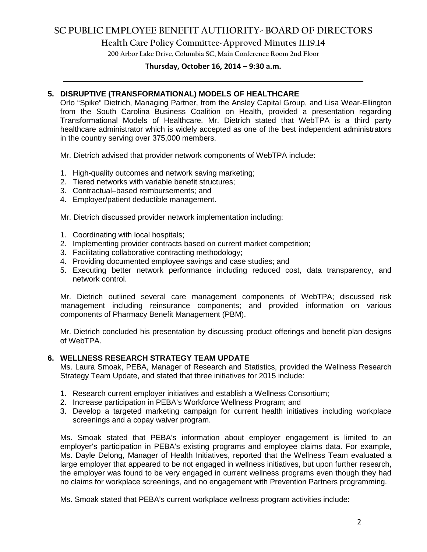# **SC PUBLIC EMPLOYEE BENEFIT AUTHORITY- BOARD OF DIRECTORS**

**Health Care Policy Committee-Approved Minutes 11.19.14**

**200 Arbor Lake Drive, Columbia SC, Main Conference Room 2nd Floor**

# **Thursday, October 16, 2014 – 9:30 a.m. \_\_\_\_\_\_\_\_\_\_\_\_\_\_\_\_\_\_\_\_\_\_\_\_\_\_\_\_\_\_\_\_\_\_\_\_\_\_\_\_\_\_\_\_\_\_\_\_\_\_\_\_\_\_\_\_\_\_\_\_\_\_\_\_\_\_\_\_\_\_\_\_**

# **5. DISRUPTIVE (TRANSFORMATIONAL) MODELS OF HEALTHCARE**

Orlo "Spike" Dietrich, Managing Partner, from the Ansley Capital Group, and Lisa Wear-Ellington from the South Carolina Business Coalition on Health, provided a presentation regarding Transformational Models of Healthcare. Mr. Dietrich stated that WebTPA is a third party healthcare administrator which is widely accepted as one of the best independent administrators in the country serving over 375,000 members.

Mr. Dietrich advised that provider network components of WebTPA include:

- 1. High-quality outcomes and network saving marketing;
- 2. Tiered networks with variable benefit structures;
- 3. Contractual–based reimbursements; and
- 4. Employer/patient deductible management.

Mr. Dietrich discussed provider network implementation including:

- 1. Coordinating with local hospitals;
- 2. Implementing provider contracts based on current market competition;
- 3. Facilitating collaborative contracting methodology;
- 4. Providing documented employee savings and case studies; and
- 5. Executing better network performance including reduced cost, data transparency, and network control.

Mr. Dietrich outlined several care management components of WebTPA; discussed risk management including reinsurance components; and provided information on various components of Pharmacy Benefit Management (PBM).

Mr. Dietrich concluded his presentation by discussing product offerings and benefit plan designs of WebTPA.

## **6. WELLNESS RESEARCH STRATEGY TEAM UPDATE**

Ms. Laura Smoak, PEBA, Manager of Research and Statistics, provided the Wellness Research Strategy Team Update, and stated that three initiatives for 2015 include:

- 1. Research current employer initiatives and establish a Wellness Consortium;
- 2. Increase participation in PEBA's Workforce Wellness Program; and
- 3. Develop a targeted marketing campaign for current health initiatives including workplace screenings and a copay waiver program.

Ms. Smoak stated that PEBA's information about employer engagement is limited to an employer's participation in PEBA's existing programs and employee claims data. For example, Ms. Dayle Delong, Manager of Health Initiatives, reported that the Wellness Team evaluated a large employer that appeared to be not engaged in wellness initiatives, but upon further research, the employer was found to be very engaged in current wellness programs even though they had no claims for workplace screenings, and no engagement with Prevention Partners programming.

Ms. Smoak stated that PEBA's current workplace wellness program activities include: